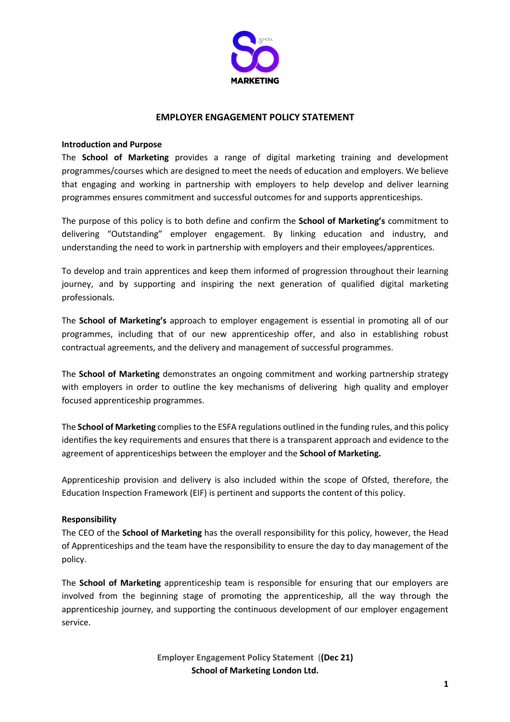

#### **EMPLOYER ENGAGEMENT POLICY STATEMENT**

#### **Introduction and Purpose**

The **School of Marketing** provides a range of digital marketing training and development programmes/courses which are designed to meet the needs of education and employers. We believe that engaging and working in partnership with employers to help develop and deliver learning programmes ensures commitment and successful outcomes for and supports apprenticeships.

The purpose of this policy is to both define and confirm the **School of Marketing's** commitment to delivering "Outstanding" employer engagement. By linking education and industry, and understanding the need to work in partnership with employers and their employees/apprentices.

To develop and train apprentices and keep them informed of progression throughout their learning journey, and by supporting and inspiring the next generation of qualified digital marketing professionals.

The **School of Marketing's** approach to employer engagement is essential in promoting all of our programmes, including that of our new apprenticeship offer, and also in establishing robust contractual agreements, and the delivery and management of successful programmes.

The **School of Marketing** demonstrates an ongoing commitment and working partnership strategy with employers in order to outline the key mechanisms of delivering high quality and employer focused apprenticeship programmes.

The **School of Marketing** complies to the ESFA regulations outlined in the funding rules, and this policy identifies the key requirements and ensures that there is a transparent approach and evidence to the agreement of apprenticeships between the employer and the **School of Marketing.** 

Apprenticeship provision and delivery is also included within the scope of Ofsted, therefore, the Education Inspection Framework (EIF) is pertinent and supports the content of this policy.

#### **Responsibility**

The CEO of the **School of Marketing** has the overall responsibility for this policy, however, the Head of Apprenticeships and the team have the responsibility to ensure the day to day management of the policy.

The **School of Marketing** apprenticeship team is responsible for ensuring that our employers are involved from the beginning stage of promoting the apprenticeship, all the way through the apprenticeship journey, and supporting the continuous development of our employer engagement service.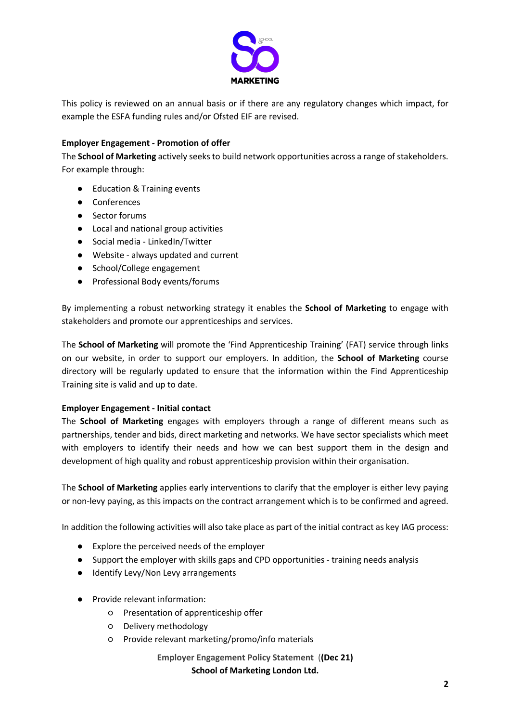

This policy is reviewed on an annual basis or if there are any regulatory changes which impact, for example the ESFA funding rules and/or Ofsted EIF are revised.

# **Employer Engagement - Promotion of offer**

The **School of Marketing** actively seeks to build network opportunities across a range of stakeholders. For example through:

- Education & Training events
- Conferences
- Sector forums
- Local and national group activities
- Social media LinkedIn/Twitter
- Website always updated and current
- School/College engagement
- Professional Body events/forums

By implementing a robust networking strategy it enables the **School of Marketing** to engage with stakeholders and promote our apprenticeships and services.

The **School of Marketing** will promote the 'Find Apprenticeship Training' (FAT) service through links on our website, in order to support our employers. In addition, the **School of Marketing** course directory will be regularly updated to ensure that the information within the Find Apprenticeship Training site is valid and up to date.

# **Employer Engagement - Initial contact**

The **School of Marketing** engages with employers through a range of different means such as partnerships, tender and bids, direct marketing and networks. We have sector specialists which meet with employers to identify their needs and how we can best support them in the design and development of high quality and robust apprenticeship provision within their organisation.

The **School of Marketing** applies early interventions to clarify that the employer is either levy paying or non-levy paying, as this impacts on the contract arrangement which is to be confirmed and agreed.

In addition the following activities will also take place as part of the initial contract as key IAG process:

- Explore the perceived needs of the employer
- Support the employer with skills gaps and CPD opportunities training needs analysis
- Identify Levy/Non Levy arrangements
- Provide relevant information:
	- Presentation of apprenticeship offer
	- Delivery methodology
	- Provide relevant marketing/promo/info materials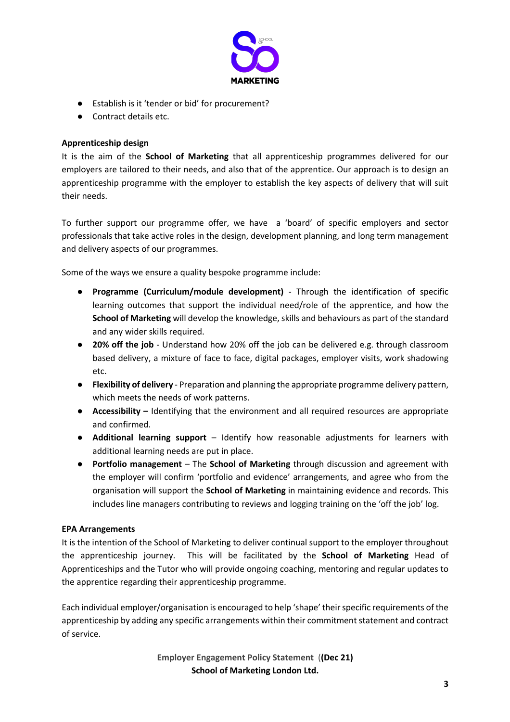

- Establish is it 'tender or bid' for procurement?
- Contract details etc.

# **Apprenticeship design**

It is the aim of the **School of Marketing** that all apprenticeship programmes delivered for our employers are tailored to their needs, and also that of the apprentice. Our approach is to design an apprenticeship programme with the employer to establish the key aspects of delivery that will suit their needs.

To further support our programme offer, we have a 'board' of specific employers and sector professionals that take active roles in the design, development planning, and long term management and delivery aspects of our programmes.

Some of the ways we ensure a quality bespoke programme include:

- **Programme (Curriculum/module development)**  Through the identification of specific learning outcomes that support the individual need/role of the apprentice, and how the **School of Marketing** will develop the knowledge, skills and behaviours as part of the standard and any wider skills required.
- **20% off the job**  Understand how 20% off the job can be delivered e.g. through classroom based delivery, a mixture of face to face, digital packages, employer visits, work shadowing etc.
- **Flexibility of delivery**  Preparation and planning the appropriate programme delivery pattern, which meets the needs of work patterns.
- **Accessibility –** Identifying that the environment and all required resources are appropriate and confirmed.
- **Additional learning support**  Identify how reasonable adjustments for learners with additional learning needs are put in place.
- **Portfolio management** The **School of Marketing** through discussion and agreement with the employer will confirm 'portfolio and evidence' arrangements, and agree who from the organisation will support the **School of Marketing** in maintaining evidence and records. This includes line managers contributing to reviews and logging training on the 'off the job' log.

# **EPA Arrangements**

It is the intention of the School of Marketing to deliver continual support to the employer throughout the apprenticeship journey. This will be facilitated by the **School of Marketing** Head of Apprenticeships and the Tutor who will provide ongoing coaching, mentoring and regular updates to the apprentice regarding their apprenticeship programme.

Each individual employer/organisation is encouraged to help 'shape' their specific requirements of the apprenticeship by adding any specific arrangements within their commitment statement and contract of service.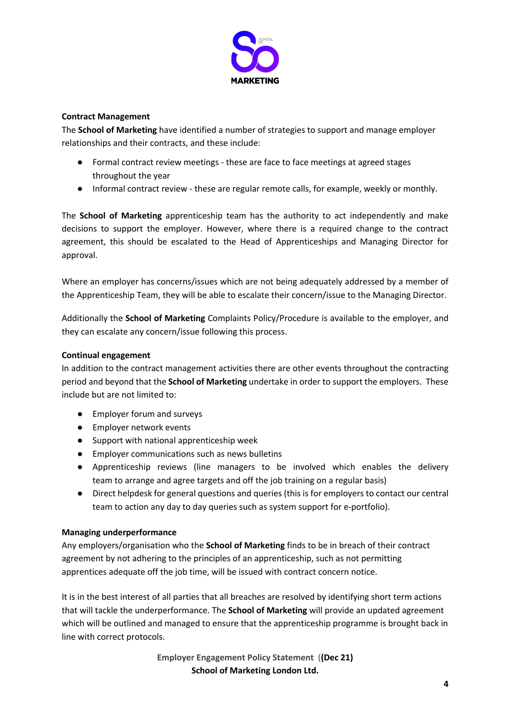

# **Contract Management**

The **School of Marketing** have identified a number of strategies to support and manage employer relationships and their contracts, and these include:

- Formal contract review meetings these are face to face meetings at agreed stages throughout the year
- Informal contract review these are regular remote calls, for example, weekly or monthly.

The **School of Marketing** apprenticeship team has the authority to act independently and make decisions to support the employer. However, where there is a required change to the contract agreement, this should be escalated to the Head of Apprenticeships and Managing Director for approval.

Where an employer has concerns/issues which are not being adequately addressed by a member of the Apprenticeship Team, they will be able to escalate their concern/issue to the Managing Director.

Additionally the **School of Marketing** Complaints Policy/Procedure is available to the employer, and they can escalate any concern/issue following this process.

#### **Continual engagement**

In addition to the contract management activities there are other events throughout the contracting period and beyond that the **School of Marketing** undertake in order to support the employers. These include but are not limited to:

- Employer forum and surveys
- Employer network events
- Support with national apprenticeship week
- Employer communications such as news bulletins
- Apprenticeship reviews (line managers to be involved which enables the delivery team to arrange and agree targets and off the job training on a regular basis)
- Direct helpdesk for general questions and queries (this is for employers to contact our central team to action any day to day queries such as system support for e-portfolio).

#### **Managing underperformance**

Any employers/organisation who the **School of Marketing** finds to be in breach of their contract agreement by not adhering to the principles of an apprenticeship, such as not permitting apprentices adequate off the job time, will be issued with contract concern notice.

It is in the best interest of all parties that all breaches are resolved by identifying short term actions that will tackle the underperformance. The **School of Marketing** will provide an updated agreement which will be outlined and managed to ensure that the apprenticeship programme is brought back in line with correct protocols.